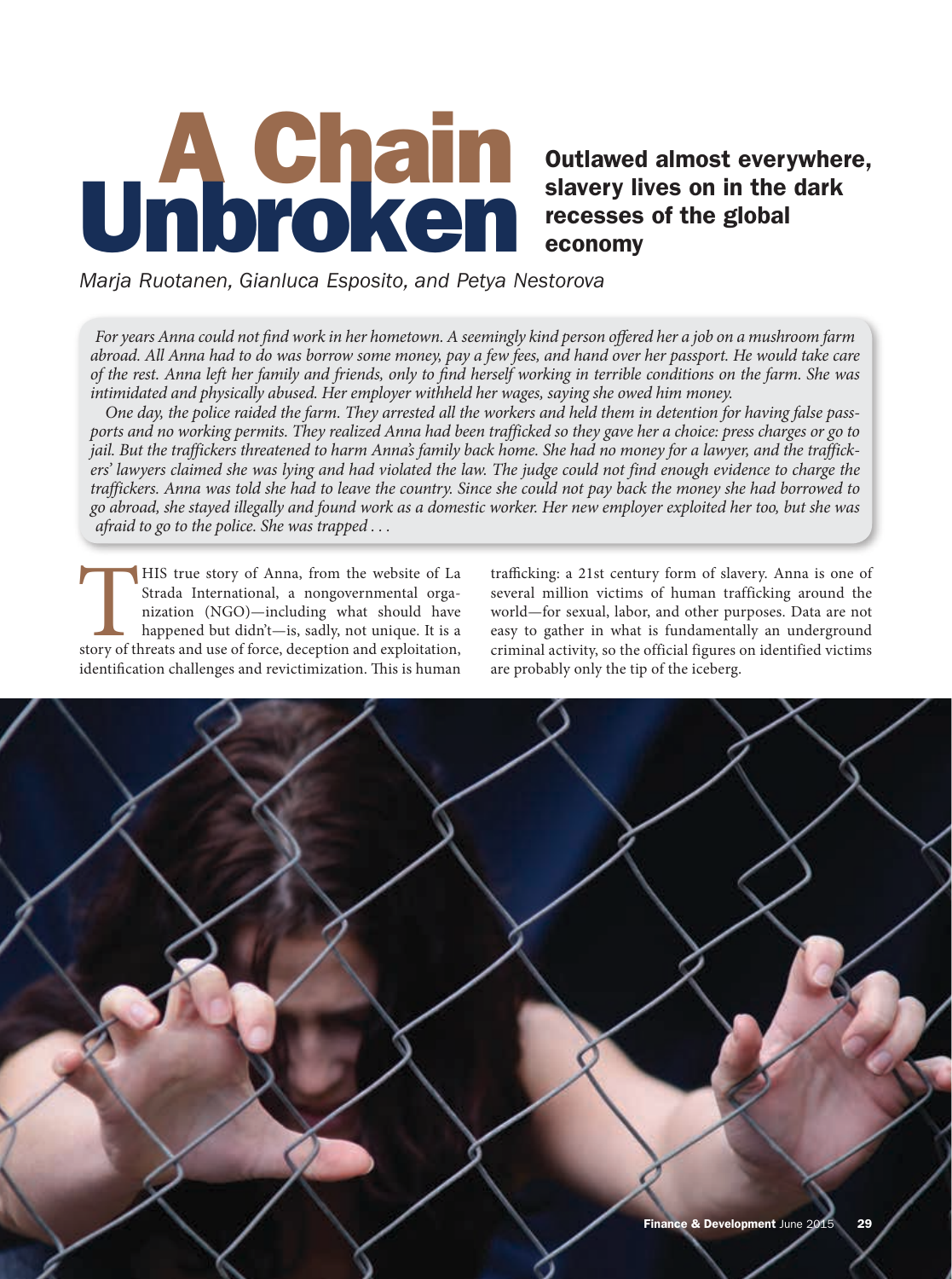# A Chain Unbroken

# Outlawed almost everywhere, slavery lives on in the dark recesses of the global economy

## *Marja Ruotanen, Gianluca Esposito, and Petya Nestorova*

*For years Anna could not find work in her hometown. A seemingly kind person offered her a job on a mushroom farm abroad. All Anna had to do was borrow some money, pay a few fees, and hand over her passport. He would take care of the rest. Anna left her family and friends, only to find herself working in terrible conditions on the farm. She was intimidated and physically abused. Her employer withheld her wages, saying she owed him money.*

*One day, the police raided the farm. They arrested all the workers and held them in detention for having false passports and no working permits. They realized Anna had been trafficked so they gave her a choice: press charges or go to jail. But the traffickers threatened to harm Anna's family back home. She had no money for a lawyer, and the traffickers' lawyers claimed she was lying and had violated the law. The judge could not find enough evidence to charge the traffickers. Anna was told she had to leave the country. Since she could not pay back the money she had borrowed to go abroad, she stayed illegally and found work as a domestic worker. Her new employer exploited her too, but she was afraid to go to the police. She was trapped . . .*

THIS true story of Anna, from the website of La Strada International, a nongovernmental organization (NGO)—including what should have happened but didn't—is, sadly, not unique. It is a story of threats and use of force, de Strada International, a nongovernmental organization (NGO)—including what should have happened but didn't—is, sadly, not unique. It is a identification challenges and revictimization. This is human

trafficking: a 21st century form of slavery. Anna is one of several million victims of human trafficking around the world—for sexual, labor, and other purposes. Data are not easy to gather in what is fundamentally an underground criminal activity, so the official figures on identified victims are probably only the tip of the iceberg.

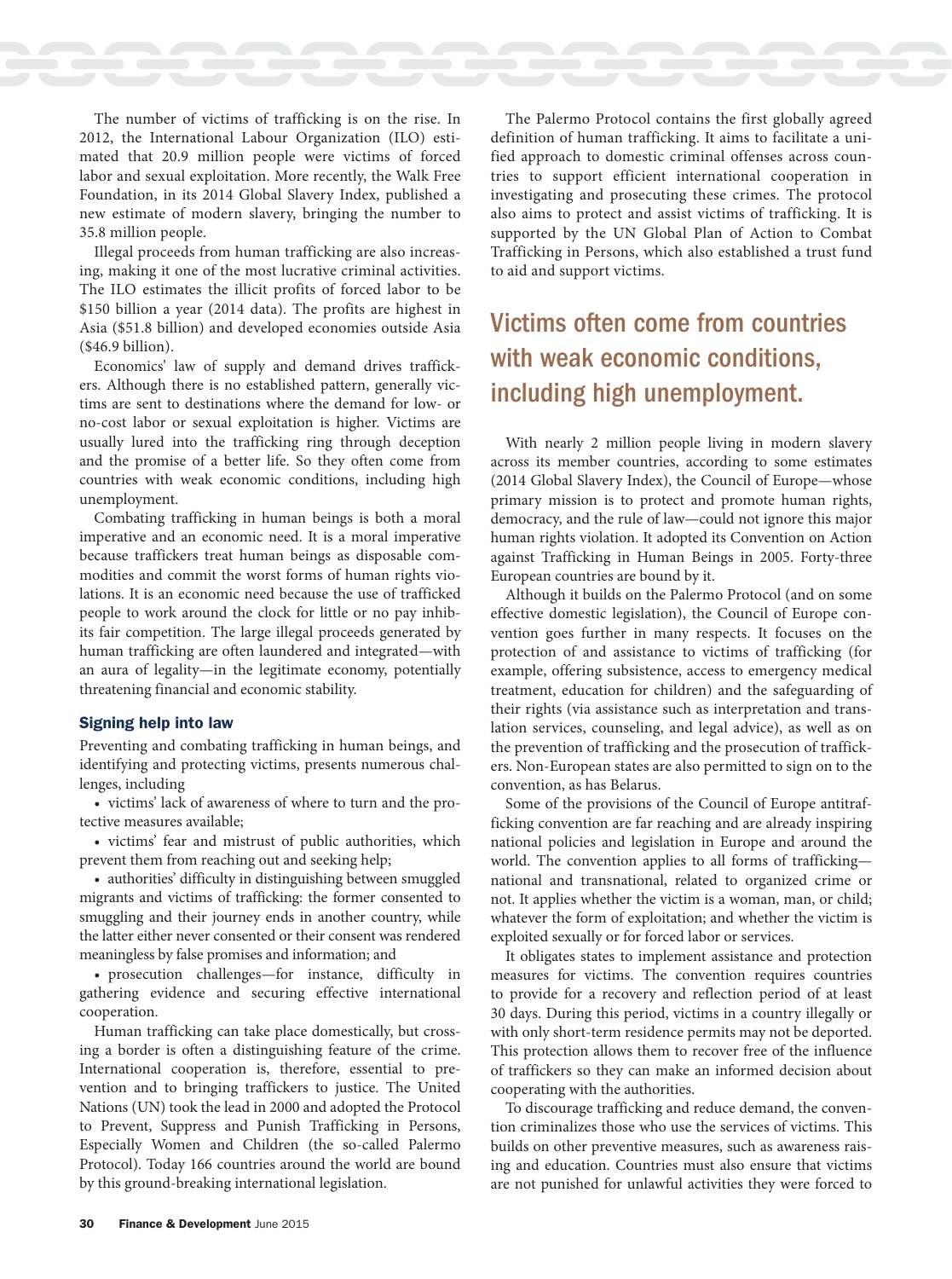The number of victims of trafficking is on the rise. In 2012, the International Labour Organization (ILO) estimated that 20.9 million people were victims of forced labor and sexual exploitation. More recently, the Walk Free Foundation, in its 2014 Global Slavery Index, published a new estimate of modern slavery, bringing the number to 35.8 million people.

 $\mathcal{L}_{\text{max}}$ 

**The Common** 

Illegal proceeds from human trafficking are also increasing, making it one of the most lucrative criminal activities. The ILO estimates the illicit profits of forced labor to be \$150 billion a year (2014 data). The profits are highest in Asia (\$51.8 billion) and developed economies outside Asia (\$46.9 billion).

Economics' law of supply and demand drives traffickers. Although there is no established pattern, generally victims are sent to destinations where the demand for low- or no-cost labor or sexual exploitation is higher. Victims are usually lured into the trafficking ring through deception and the promise of a better life. So they often come from countries with weak economic conditions, including high unemployment.

Combating trafficking in human beings is both a moral imperative and an economic need. It is a moral imperative because traffickers treat human beings as disposable commodities and commit the worst forms of human rights violations. It is an economic need because the use of trafficked people to work around the clock for little or no pay inhibits fair competition. The large illegal proceeds generated by human trafficking are often laundered and integrated—with an aura of legality—in the legitimate economy, potentially threatening financial and economic stability.

### Signing help into law

Preventing and combating trafficking in human beings, and identifying and protecting victims, presents numerous challenges, including

• victims' lack of awareness of where to turn and the protective measures available;

• victims' fear and mistrust of public authorities, which prevent them from reaching out and seeking help;

• authorities' difficulty in distinguishing between smuggled migrants and victims of trafficking: the former consented to smuggling and their journey ends in another country, while the latter either never consented or their consent was rendered meaningless by false promises and information; and

• prosecution challenges—for instance, difficulty in gathering evidence and securing effective international cooperation.

Human trafficking can take place domestically, but crossing a border is often a distinguishing feature of the crime. International cooperation is, therefore, essential to prevention and to bringing traffickers to justice. The United Nations (UN) took the lead in 2000 and adopted the Protocol to Prevent, Suppress and Punish Trafficking in Persons, Especially Women and Children (the so-called Palermo Protocol). Today 166 countries around the world are bound by this ground-breaking international legislation.

The Palermo Protocol contains the first globally agreed definition of human trafficking. It aims to facilitate a unified approach to domestic criminal offenses across countries to support efficient international cooperation in investigating and prosecuting these crimes. The protocol also aims to protect and assist victims of trafficking. It is supported by the UN Global Plan of Action to Combat Trafficking in Persons, which also established a trust fund to aid and support victims.

and the state of the state of the

# Victims often come from countries with weak economic conditions, including high unemployment.

With nearly 2 million people living in modern slavery across its member countries, according to some estimates (2014 Global Slavery Index), the Council of Europe—whose primary mission is to protect and promote human rights, democracy, and the rule of law—could not ignore this major human rights violation. It adopted its Convention on Action against Trafficking in Human Beings in 2005. Forty-three European countries are bound by it.

Although it builds on the Palermo Protocol (and on some effective domestic legislation), the Council of Europe convention goes further in many respects. It focuses on the protection of and assistance to victims of trafficking (for example, offering subsistence, access to emergency medical treatment, education for children) and the safeguarding of their rights (via assistance such as interpretation and translation services, counseling, and legal advice), as well as on the prevention of trafficking and the prosecution of traffickers. Non-European states are also permitted to sign on to the convention, as has Belarus.

Some of the provisions of the Council of Europe antitrafficking convention are far reaching and are already inspiring national policies and legislation in Europe and around the world. The convention applies to all forms of trafficking national and transnational, related to organized crime or not. It applies whether the victim is a woman, man, or child; whatever the form of exploitation; and whether the victim is exploited sexually or for forced labor or services.

It obligates states to implement assistance and protection measures for victims. The convention requires countries to provide for a recovery and reflection period of at least 30 days. During this period, victims in a country illegally or with only short-term residence permits may not be deported. This protection allows them to recover free of the influence of traffickers so they can make an informed decision about cooperating with the authorities.

To discourage trafficking and reduce demand, the convention criminalizes those who use the services of victims. This builds on other preventive measures, such as awareness raising and education. Countries must also ensure that victims are not punished for unlawful activities they were forced to